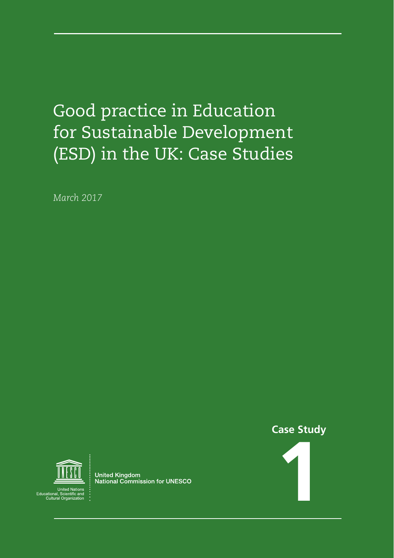# Good practice in Education for Sustainable Development (ESD) in the UK: Case Studies

*March 2017*



**United Kingdom** National Commission for UNESCO

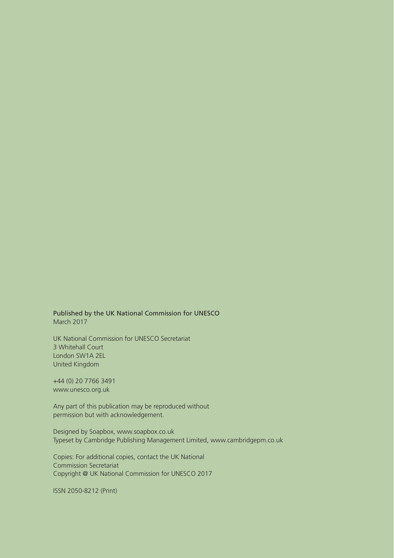Published by the UK National Commission for UNESCO March 2017

UK National Commission for UNESCO Secretariat 3 Whitehall Court London SW1A 2EL United Kingdom

+44 (0) 20 7766 3491 www.unesco.org.uk

Any part of this publication may be reproduced without permission but with acknowledgement.

Designed by Soapbox, www.soapbox.co.uk Typeset by Cambridge Publishing Management Limited, www.cambridgepm.co.uk

Copies: For additional copies, contact the UK National Commission Secretariat Copyright @ UK National Commission for UNESCO 2017

ISSN 2050-8212 (Print)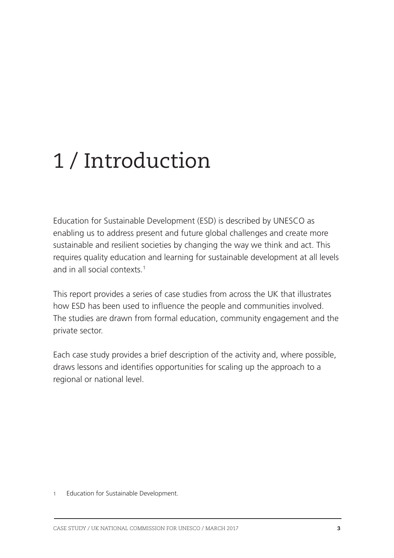# 1 / Introduction

Education for Sustainable Development (ESD) is described by UNESCO as enabling us to address present and future global challenges and create more sustainable and resilient societies by changing the way we think and act. This requires quality education and learning for sustainable development at all levels and in all social contexts.<sup>1</sup>

This report provides a series of case studies from across the UK that illustrates how ESD has been used to influence the people and communities involved. The studies are drawn from formal education, community engagement and the private sector.

Each case study provides a brief description of the activity and, where possible, draws lessons and identifies opportunities for scaling up the approach to a regional or national level.

1 Education for Sustainable Development.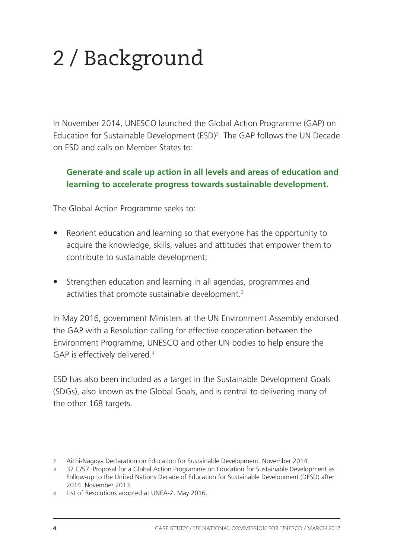# 2 / Background

In November 2014, UNESCO launched the Global Action Programme (GAP) on Education for Sustainable Development (ESD)<sup>2</sup>. The GAP follows the UN Decade on ESD and calls on Member States to:

#### **Generate and scale up action in all levels and areas of education and learning to accelerate progress towards sustainable development.**

The Global Action Programme seeks to:

- Reorient education and learning so that everyone has the opportunity to acquire the knowledge, skills, values and attitudes that empower them to contribute to sustainable development;
- Strengthen education and learning in all agendas, programmes and activities that promote sustainable development.<sup>3</sup>

In May 2016, government Ministers at the UN Environment Assembly endorsed the GAP with a Resolution calling for effective cooperation between the Environment Programme, UNESCO and other UN bodies to help ensure the GAP is effectively delivered.<sup>4</sup>

ESD has also been included as a target in the Sustainable Development Goals (SDGs), also known as the Global Goals, and is central to delivering many of the other 168 targets.

<sup>2</sup> Aichi-Nagoya Declaration on Education for Sustainable Development. November 2014.

<sup>3</sup> 37 C/57: Proposal for a Global Action Programme on Education for Sustainable Development as Follow-up to the United Nations Decade of Education for Sustainable Development (DESD) after 2014. November 2013.

<sup>4</sup> List of Resolutions adopted at UNEA-2. May 2016.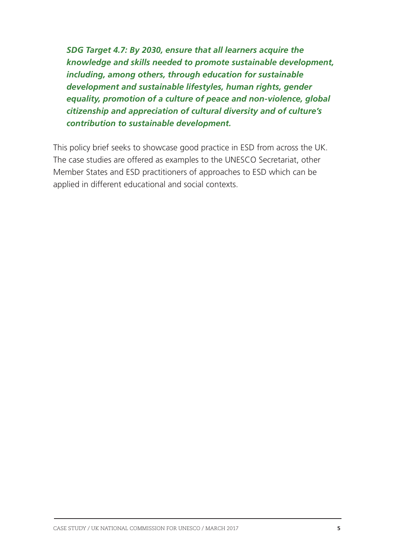*SDG Target 4.7: By 2030, ensure that all learners acquire the knowledge and skills needed to promote sustainable development, including, among others, through education for sustainable development and sustainable lifestyles, human rights, gender equality, promotion of a culture of peace and non-violence, global citizenship and appreciation of cultural diversity and of culture's contribution to sustainable development.*

This policy brief seeks to showcase good practice in ESD from across the UK. The case studies are offered as examples to the UNESCO Secretariat, other Member States and ESD practitioners of approaches to ESD which can be applied in different educational and social contexts.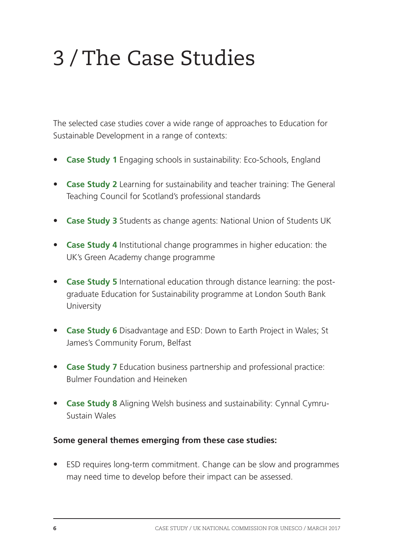# 3 / The Case Studies

The selected case studies cover a wide range of approaches to Education for Sustainable Development in a range of contexts:

- **Case Study 1** Engaging schools in sustainability: Eco-Schools, England
- **Case Study 2** Learning for sustainability and teacher training: The General Teaching Council for Scotland's professional standards
- **Case Study 3** Students as change agents: National Union of Students UK
- **Case Study 4** Institutional change programmes in higher education: the UK's Green Academy change programme
- **Case Study 5** International education through distance learning: the postgraduate Education for Sustainability programme at London South Bank University
- **Case Study 6** Disadvantage and ESD: Down to Earth Project in Wales; St James's Community Forum, Belfast
- **Case Study 7** Education business partnership and professional practice: Bulmer Foundation and Heineken
- **Case Study 8** Aligning Welsh business and sustainability: Cynnal Cymru-Sustain Wales

#### **Some general themes emerging from these case studies:**

• ESD requires long-term commitment. Change can be slow and programmes may need time to develop before their impact can be assessed.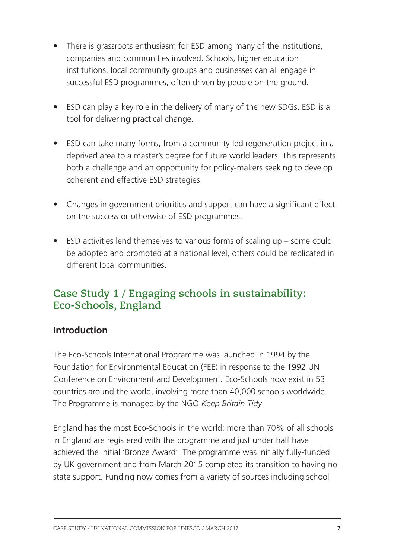- There is grassroots enthusiasm for ESD among many of the institutions, companies and communities involved. Schools, higher education institutions, local community groups and businesses can all engage in successful ESD programmes, often driven by people on the ground.
- ESD can play a key role in the delivery of many of the new SDGs. ESD is a tool for delivering practical change.
- ESD can take many forms, from a community-led regeneration project in a deprived area to a master's degree for future world leaders. This represents both a challenge and an opportunity for policy-makers seeking to develop coherent and effective ESD strategies.
- Changes in government priorities and support can have a significant effect on the success or otherwise of ESD programmes.
- ESD activities lend themselves to various forms of scaling up some could be adopted and promoted at a national level, others could be replicated in different local communities.

# **Case Study 1 / Engaging schools in sustainability: Eco-Schools, England**

#### **Introduction**

The Eco-Schools International Programme was launched in 1994 by the Foundation for Environmental Education (FEE) in response to the 1992 UN Conference on Environment and Development. Eco-Schools now exist in 53 countries around the world, involving more than 40,000 schools worldwide. The Programme is managed by the NGO *Keep Britain Tidy*.

England has the most Eco-Schools in the world: more than 70% of all schools in England are registered with the programme and just under half have achieved the initial 'Bronze Award'. The programme was initially fully-funded by UK government and from March 2015 completed its transition to having no state support. Funding now comes from a variety of sources including school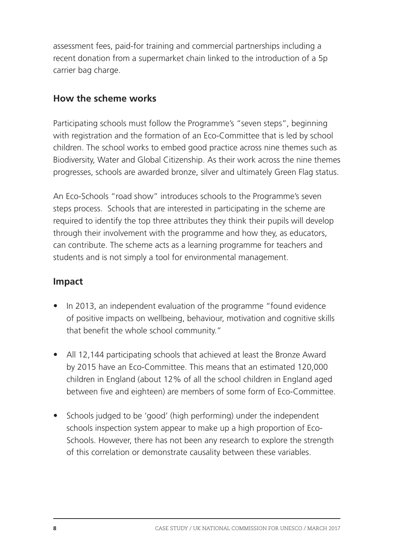assessment fees, paid-for training and commercial partnerships including a recent donation from a supermarket chain linked to the introduction of a 5p carrier bag charge.

#### **How the scheme works**

Participating schools must follow the Programme's "seven steps", beginning with registration and the formation of an Eco-Committee that is led by school children. The school works to embed good practice across nine themes such as Biodiversity, Water and Global Citizenship. As their work across the nine themes progresses, schools are awarded bronze, silver and ultimately Green Flag status.

An Eco-Schools "road show" introduces schools to the Programme's seven steps process. Schools that are interested in participating in the scheme are required to identify the top three attributes they think their pupils will develop through their involvement with the programme and how they, as educators, can contribute. The scheme acts as a learning programme for teachers and students and is not simply a tool for environmental management.

## **Impact**

- In 2013, an independent evaluation of the programme "found evidence of positive impacts on wellbeing, behaviour, motivation and cognitive skills that benefit the whole school community."
- All 12,144 participating schools that achieved at least the Bronze Award by 2015 have an Eco-Committee. This means that an estimated 120,000 children in England (about 12% of all the school children in England aged between five and eighteen) are members of some form of Eco-Committee.
- Schools judged to be 'good' (high performing) under the independent schools inspection system appear to make up a high proportion of Eco-Schools. However, there has not been any research to explore the strength of this correlation or demonstrate causality between these variables.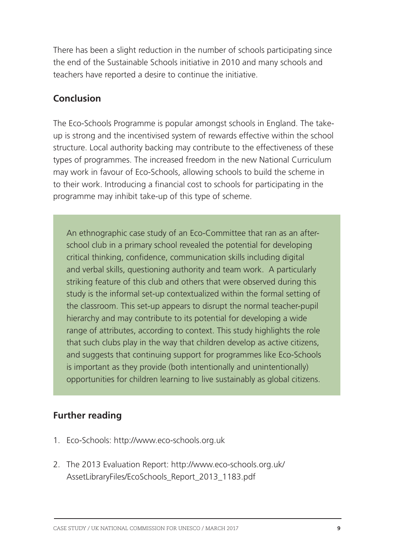There has been a slight reduction in the number of schools participating since the end of the Sustainable Schools initiative in 2010 and many schools and teachers have reported a desire to continue the initiative.

### **Conclusion**

The Eco-Schools Programme is popular amongst schools in England. The takeup is strong and the incentivised system of rewards effective within the school structure. Local authority backing may contribute to the effectiveness of these types of programmes. The increased freedom in the new National Curriculum may work in favour of Eco-Schools, allowing schools to build the scheme in to their work. Introducing a financial cost to schools for participating in the programme may inhibit take-up of this type of scheme.

An ethnographic case study of an Eco-Committee that ran as an afterschool club in a primary school revealed the potential for developing critical thinking, confidence, communication skills including digital and verbal skills, questioning authority and team work. A particularly striking feature of this club and others that were observed during this study is the informal set-up contextualized within the formal setting of the classroom. This set-up appears to disrupt the normal teacher-pupil hierarchy and may contribute to its potential for developing a wide range of attributes, according to context. This study highlights the role that such clubs play in the way that children develop as active citizens, and suggests that continuing support for programmes like Eco-Schools is important as they provide (both intentionally and unintentionally) opportunities for children learning to live sustainably as global citizens.

#### **Further reading**

- 1. Eco-Schools: http://www.eco-schools.org.uk
- 2. The 2013 Evaluation Report: http://www.eco-schools.org.uk/ AssetLibraryFiles/EcoSchools\_Report\_2013\_1183.pdf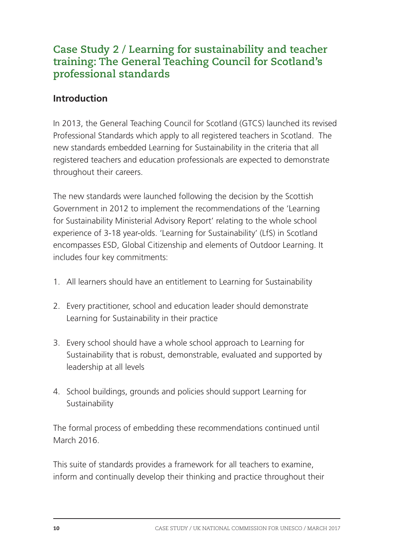# **Case Study 2 / Learning for sustainability and teacher training: The General Teaching Council for Scotland's professional standards**

#### **Introduction**

In 2013, the General Teaching Council for Scotland (GTCS) launched its revised Professional Standards which apply to all registered teachers in Scotland. The new standards embedded Learning for Sustainability in the criteria that all registered teachers and education professionals are expected to demonstrate throughout their careers.

The new standards were launched following the decision by the Scottish Government in 2012 to implement the recommendations of the 'Learning for Sustainability Ministerial Advisory Report' relating to the whole school experience of 3-18 year-olds. 'Learning for Sustainability' (LfS) in Scotland encompasses ESD, Global Citizenship and elements of Outdoor Learning. It includes four key commitments:

- 1. All learners should have an entitlement to Learning for Sustainability
- 2. Every practitioner, school and education leader should demonstrate Learning for Sustainability in their practice
- 3. Every school should have a whole school approach to Learning for Sustainability that is robust, demonstrable, evaluated and supported by leadership at all levels
- 4. School buildings, grounds and policies should support Learning for Sustainability

The formal process of embedding these recommendations continued until March 2016.

This suite of standards provides a framework for all teachers to examine, inform and continually develop their thinking and practice throughout their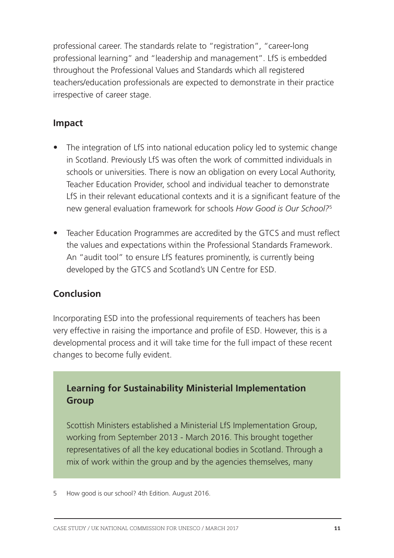professional career. The standards relate to "registration", "career-long professional learning" and "leadership and management". LfS is embedded throughout the Professional Values and Standards which all registered teachers/education professionals are expected to demonstrate in their practice irrespective of career stage.

#### **Impact**

- The integration of LfS into national education policy led to systemic change in Scotland. Previously LfS was often the work of committed individuals in schools or universities. There is now an obligation on every Local Authority, Teacher Education Provider, school and individual teacher to demonstrate LfS in their relevant educational contexts and it is a significant feature of the new general evaluation framework for schools *How Good is Our School?*<sup>5</sup>
- Teacher Education Programmes are accredited by the GTCS and must reflect the values and expectations within the Professional Standards Framework. An "audit tool" to ensure LfS features prominently, is currently being developed by the GTCS and Scotland's UN Centre for ESD.

#### **Conclusion**

Incorporating ESD into the professional requirements of teachers has been very effective in raising the importance and profile of ESD. However, this is a developmental process and it will take time for the full impact of these recent changes to become fully evident.

## **Learning for Sustainability Ministerial Implementation Group**

Scottish Ministers established a Ministerial LfS Implementation Group, working from September 2013 - March 2016. This brought together representatives of all the key educational bodies in Scotland. Through a mix of work within the group and by the agencies themselves, many

5 How good is our school? 4th Edition. August 2016.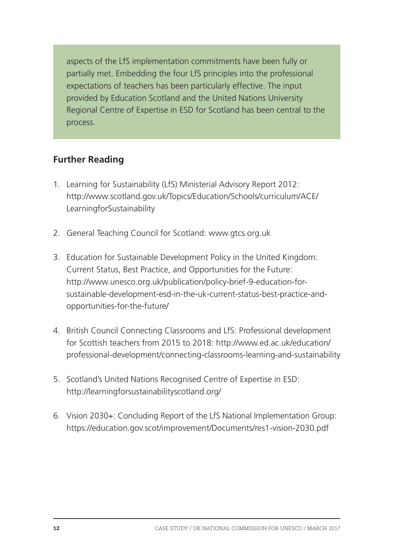aspects of the LfS implementation commitments have been fully or partially met. Embedding the four LfS principles into the professional expectations of teachers has been particularly effective. The input provided by Education Scotland and the United Nations University Regional Centre of Expertise in ESD for Scotland has been central to the process.

#### **Further Reading**

- 1. Learning for Sustainability (LfS) Ministerial Advisory Report 2012: http://www.scotland.gov.uk/Topics/Education/Schools/curriculum/ACE/ LearningforSustainability
- 2. General Teaching Council for Scotland: www.gtcs.org.uk
- 3. Education for Sustainable Development Policy in the United Kingdom: Current Status, Best Practice, and Opportunities for the Future: http://www.unesco.org.uk/publication/policy-brief-9-education-forsustainable-development-esd-in-the-uk-current-status-best-practice-andopportunities-for-the-future/
- 4. British Council Connecting Classrooms and LfS: Professional development for Scottish teachers from 2015 to 2018: http://www.ed.ac.uk/education/ professional-development/connecting-classrooms-learning-and-sustainability
- 5. Scotland's United Nations Recognised Centre of Expertise in ESD: http://learningforsustainabilityscotland.org/
- 6. Vision 2030+: Concluding Report of the LfS National Implementation Group: https://education.gov.scot/improvement/Documents/res1-vision-2030.pdf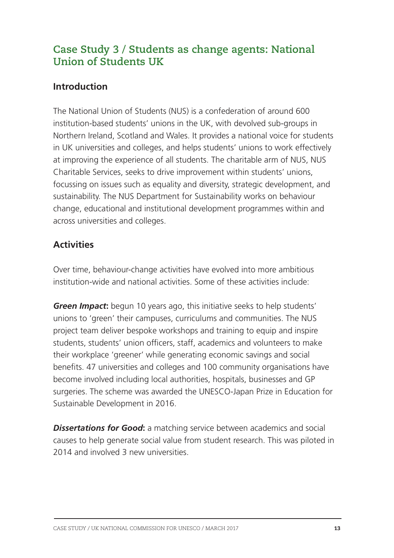# **Case Study 3 / Students as change agents: National Union of Students UK**

#### **Introduction**

The National Union of Students (NUS) is a confederation of around 600 institution-based students' unions in the UK, with devolved sub-groups in Northern Ireland, Scotland and Wales. It provides a national voice for students in UK universities and colleges, and helps students' unions to work effectively at improving the experience of all students. The charitable arm of NUS, NUS Charitable Services, seeks to drive improvement within students' unions, focussing on issues such as equality and diversity, strategic development, and sustainability. The NUS Department for Sustainability works on behaviour change, educational and institutional development programmes within and across universities and colleges.

#### **Activities**

Over time, behaviour-change activities have evolved into more ambitious institution-wide and national activities. Some of these activities include:

**Green Impact:** begun 10 years ago, this initiative seeks to help students' unions to 'green' their campuses, curriculums and communities. The NUS project team deliver bespoke workshops and training to equip and inspire students, students' union officers, staff, academics and volunteers to make their workplace 'greener' while generating economic savings and social benefits. 47 universities and colleges and 100 community organisations have become involved including local authorities, hospitals, businesses and GP surgeries. The scheme was awarded the UNESCO-Japan Prize in Education for Sustainable Development in 2016.

*Dissertations for Good***:** a matching service between academics and social causes to help generate social value from student research. This was piloted in 2014 and involved 3 new universities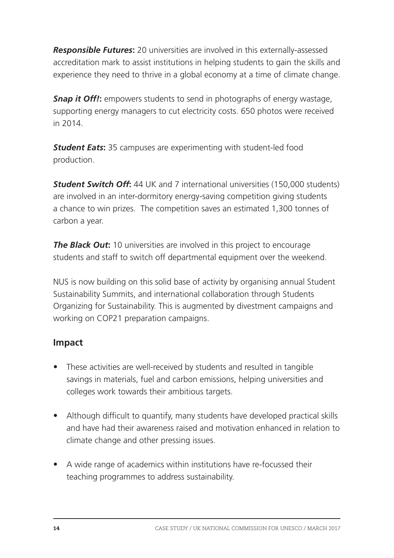*Responsible Futures***:** 20 universities are involved in this externally-assessed accreditation mark to assist institutions in helping students to gain the skills and experience they need to thrive in a global economy at a time of climate change.

*Snap it Off!***:** empowers students to send in photographs of energy wastage, supporting energy managers to cut electricity costs. 650 photos were received in 2014.

*Student Eats***:** 35 campuses are experimenting with student-led food production.

**Student Switch Off:** 44 UK and 7 international universities (150,000 students) are involved in an inter-dormitory energy-saving competition giving students a chance to win prizes. The competition saves an estimated 1,300 tonnes of carbon a year.

**The Black Out:** 10 universities are involved in this project to encourage students and staff to switch off departmental equipment over the weekend.

NUS is now building on this solid base of activity by organising annual Student Sustainability Summits, and international collaboration through Students Organizing for Sustainability. This is augmented by divestment campaigns and working on COP21 preparation campaigns.

#### **Impact**

- These activities are well-received by students and resulted in tangible savings in materials, fuel and carbon emissions, helping universities and colleges work towards their ambitious targets.
- Although difficult to quantify, many students have developed practical skills and have had their awareness raised and motivation enhanced in relation to climate change and other pressing issues.
- A wide range of academics within institutions have re-focussed their teaching programmes to address sustainability.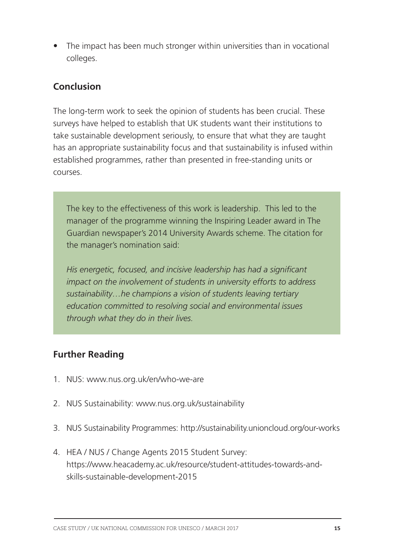• The impact has been much stronger within universities than in vocational colleges.

## **Conclusion**

The long-term work to seek the opinion of students has been crucial. These surveys have helped to establish that UK students want their institutions to take sustainable development seriously, to ensure that what they are taught has an appropriate sustainability focus and that sustainability is infused within established programmes, rather than presented in free-standing units or courses.

The key to the effectiveness of this work is leadership. This led to the manager of the programme winning the Inspiring Leader award in The Guardian newspaper's 2014 University Awards scheme. The citation for the manager's nomination said:

*His energetic, focused, and incisive leadership has had a significant impact on the involvement of students in university efforts to address sustainability…he champions a vision of students leaving tertiary education committed to resolving social and environmental issues through what they do in their lives.*

#### **Further Reading**

- 1. NUS: www.nus.org.uk/en/who-we-are
- 2. NUS Sustainability: www.nus.org.uk/sustainability
- 3. NUS Sustainability Programmes: http://sustainability.unioncloud.org/our-works
- 4. HEA / NUS / Change Agents 2015 Student Survey: https://www.heacademy.ac.uk/resource/student-attitudes-towards-andskills-sustainable-development-2015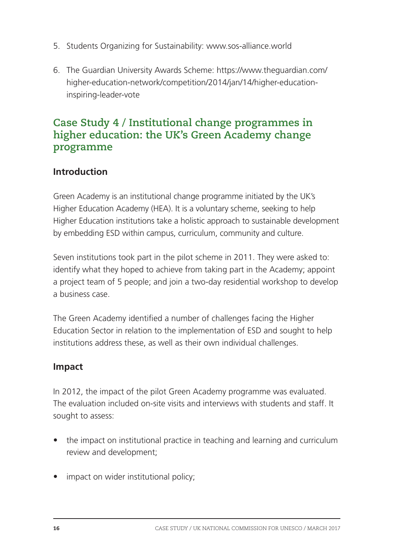- 5. Students Organizing for Sustainability: www.sos-alliance.world
- 6. The Guardian University Awards Scheme: https://www.theguardian.com/ higher-education-network/competition/2014/jan/14/higher-educationinspiring-leader-vote

# **Case Study 4 / Institutional change programmes in higher education: the UK's Green Academy change programme**

## **Introduction**

Green Academy is an institutional change programme initiated by the UK's Higher Education Academy (HEA). It is a voluntary scheme, seeking to help Higher Education institutions take a holistic approach to sustainable development by embedding ESD within campus, curriculum, community and culture.

Seven institutions took part in the pilot scheme in 2011. They were asked to: identify what they hoped to achieve from taking part in the Academy; appoint a project team of 5 people; and join a two-day residential workshop to develop a business case.

The Green Academy identified a number of challenges facing the Higher Education Sector in relation to the implementation of ESD and sought to help institutions address these, as well as their own individual challenges.

#### **Impact**

In 2012, the impact of the pilot Green Academy programme was evaluated. The evaluation included on-site visits and interviews with students and staff. It sought to assess:

- the impact on institutional practice in teaching and learning and curriculum review and development;
- impact on wider institutional policy;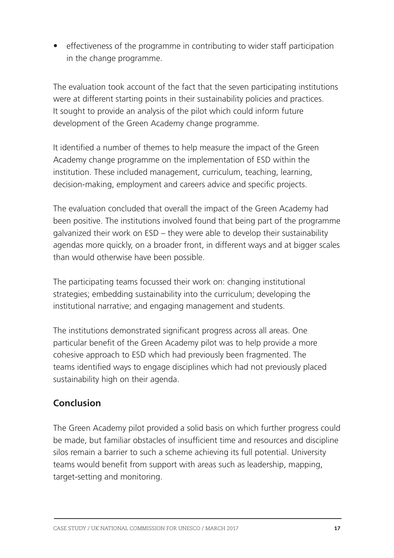• effectiveness of the programme in contributing to wider staff participation in the change programme.

The evaluation took account of the fact that the seven participating institutions were at different starting points in their sustainability policies and practices. It sought to provide an analysis of the pilot which could inform future development of the Green Academy change programme.

It identified a number of themes to help measure the impact of the Green Academy change programme on the implementation of ESD within the institution. These included management, curriculum, teaching, learning, decision-making, employment and careers advice and specific projects.

The evaluation concluded that overall the impact of the Green Academy had been positive. The institutions involved found that being part of the programme galvanized their work on ESD – they were able to develop their sustainability agendas more quickly, on a broader front, in different ways and at bigger scales than would otherwise have been possible.

The participating teams focussed their work on: changing institutional strategies; embedding sustainability into the curriculum; developing the institutional narrative; and engaging management and students.

The institutions demonstrated significant progress across all areas. One particular benefit of the Green Academy pilot was to help provide a more cohesive approach to ESD which had previously been fragmented. The teams identified ways to engage disciplines which had not previously placed sustainability high on their agenda.

## **Conclusion**

The Green Academy pilot provided a solid basis on which further progress could be made, but familiar obstacles of insufficient time and resources and discipline silos remain a barrier to such a scheme achieving its full potential. University teams would benefit from support with areas such as leadership, mapping, target-setting and monitoring.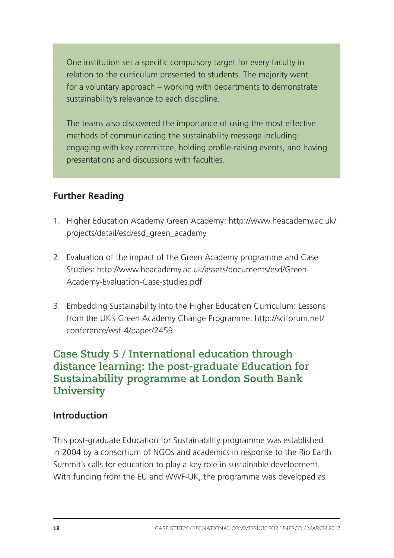One institution set a specific compulsory target for every faculty in relation to the curriculum presented to students. The majority went for a voluntary approach – working with departments to demonstrate sustainability's relevance to each discipline.

The teams also discovered the importance of using the most effective methods of communicating the sustainability message including: engaging with key committee, holding profile-raising events, and having presentations and discussions with faculties.

#### **Further Reading**

- 1. Higher Education Academy Green Academy: http://www.heacademy.ac.uk/ projects/detail/esd/esd\_green\_academy
- 2. Evaluation of the impact of the Green Academy programme and Case Studies: http://www.heacademy.ac.uk/assets/documents/esd/Green-Academy-Evaluation-Case-studies.pdf
- 3. Embedding Sustainability Into the Higher Education Curriculum: Lessons from the UK's Green Academy Change Programme: http://sciforum.net/ conference/wsf-4/paper/2459

# **Case Study 5 / International education through distance learning: the post-graduate Education for Sustainability programme at London South Bank University**

#### **Introduction**

This post-graduate Education for Sustainability programme was established in 2004 by a consortium of NGOs and academics in response to the Rio Earth Summit's calls for education to play a key role in sustainable development. With funding from the EU and WWF-UK, the programme was developed as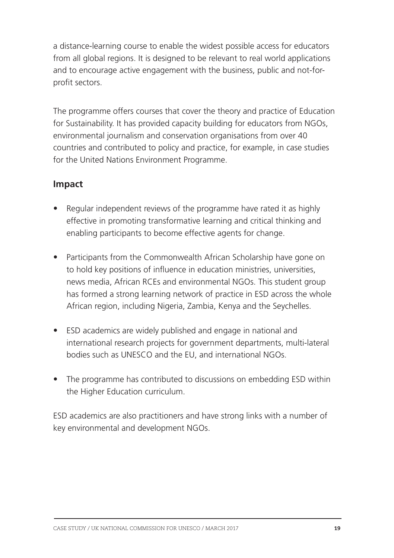a distance-learning course to enable the widest possible access for educators from all global regions. It is designed to be relevant to real world applications and to encourage active engagement with the business, public and not-forprofit sectors.

The programme offers courses that cover the theory and practice of Education for Sustainability. It has provided capacity building for educators from NGOs, environmental journalism and conservation organisations from over 40 countries and contributed to policy and practice, for example, in case studies for the United Nations Environment Programme.

#### **Impact**

- Regular independent reviews of the programme have rated it as highly effective in promoting transformative learning and critical thinking and enabling participants to become effective agents for change.
- Participants from the Commonwealth African Scholarship have gone on to hold key positions of influence in education ministries, universities, news media, African RCEs and environmental NGOs. This student group has formed a strong learning network of practice in ESD across the whole African region, including Nigeria, Zambia, Kenya and the Seychelles.
- ESD academics are widely published and engage in national and international research projects for government departments, multi-lateral bodies such as UNESCO and the EU, and international NGOs.
- The programme has contributed to discussions on embedding ESD within the Higher Education curriculum.

ESD academics are also practitioners and have strong links with a number of key environmental and development NGOs.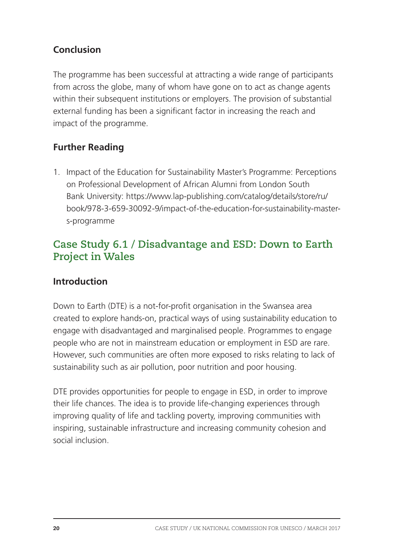# **Conclusion**

The programme has been successful at attracting a wide range of participants from across the globe, many of whom have gone on to act as change agents within their subsequent institutions or employers. The provision of substantial external funding has been a significant factor in increasing the reach and impact of the programme.

# **Further Reading**

1. Impact of the Education for Sustainability Master's Programme: Perceptions on Professional Development of African Alumni from London South Bank University: https://www.lap-publishing.com/catalog/details/store/ru/ book/978-3-659-30092-9/impact-of-the-education-for-sustainability-masters-programme

# **Case Study 6.1 / Disadvantage and ESD: Down to Earth Project in Wales**

#### **Introduction**

Down to Earth (DTE) is a not-for-profit organisation in the Swansea area created to explore hands-on, practical ways of using sustainability education to engage with disadvantaged and marginalised people. Programmes to engage people who are not in mainstream education or employment in ESD are rare. However, such communities are often more exposed to risks relating to lack of sustainability such as air pollution, poor nutrition and poor housing.

DTE provides opportunities for people to engage in ESD, in order to improve their life chances. The idea is to provide life-changing experiences through improving quality of life and tackling poverty, improving communities with inspiring, sustainable infrastructure and increasing community cohesion and social inclusion.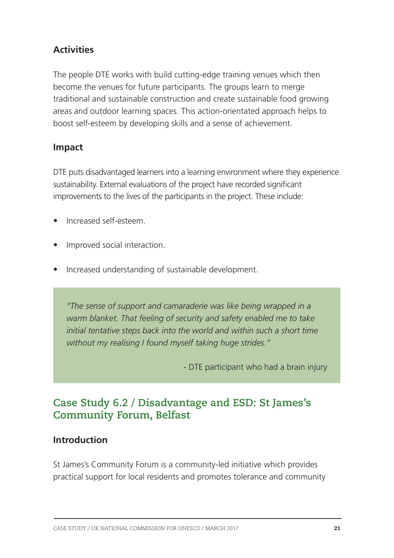## **Activities**

The people DTE works with build cutting-edge training venues which then become the venues for future participants. The groups learn to merge traditional and sustainable construction and create sustainable food growing areas and outdoor learning spaces. This action-orientated approach helps to boost self-esteem by developing skills and a sense of achievement.

#### **Impact**

DTE puts disadvantaged learners into a learning environment where they experience sustainability. External evaluations of the project have recorded significant improvements to the lives of the participants in the project. These include:

- Increased self-esteem.
- Improved social interaction.
- Increased understanding of sustainable development.

*"The sense of support and camaraderie was like being wrapped in a warm blanket. That feeling of security and safety enabled me to take initial tentative steps back into the world and within such a short time without my realising I found myself taking huge strides."* 

- DTE participant who had a brain injury

# **Case Study 6.2 / Disadvantage and ESD: St James's Community Forum, Belfast**

#### **Introduction**

St James's Community Forum is a community-led initiative which provides practical support for local residents and promotes tolerance and community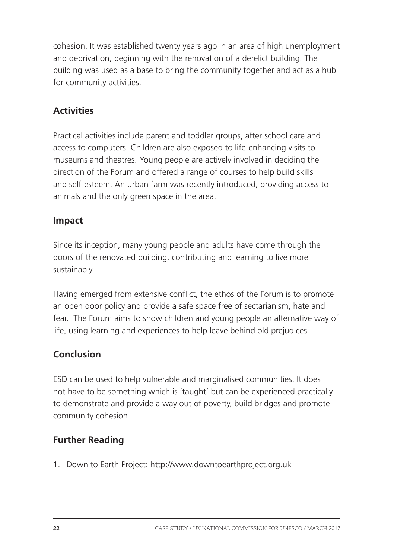cohesion. It was established twenty years ago in an area of high unemployment and deprivation, beginning with the renovation of a derelict building. The building was used as a base to bring the community together and act as a hub for community activities.

# **Activities**

Practical activities include parent and toddler groups, after school care and access to computers. Children are also exposed to life-enhancing visits to museums and theatres. Young people are actively involved in deciding the direction of the Forum and offered a range of courses to help build skills and self-esteem. An urban farm was recently introduced, providing access to animals and the only green space in the area.

#### **Impact**

Since its inception, many young people and adults have come through the doors of the renovated building, contributing and learning to live more sustainably.

Having emerged from extensive conflict, the ethos of the Forum is to promote an open door policy and provide a safe space free of sectarianism, hate and fear. The Forum aims to show children and young people an alternative way of life, using learning and experiences to help leave behind old prejudices.

# **Conclusion**

ESD can be used to help vulnerable and marginalised communities. It does not have to be something which is 'taught' but can be experienced practically to demonstrate and provide a way out of poverty, build bridges and promote community cohesion.

# **Further Reading**

1. Down to Earth Project: http://www.downtoearthproject.org.uk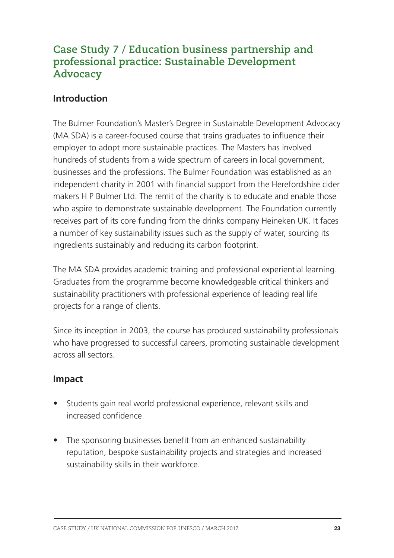# **Case Study 7 / Education business partnership and professional practice: Sustainable Development Advocacy**

#### **Introduction**

The Bulmer Foundation's Master's Degree in Sustainable Development Advocacy (MA SDA) is a career-focused course that trains graduates to influence their employer to adopt more sustainable practices. The Masters has involved hundreds of students from a wide spectrum of careers in local government, businesses and the professions. The Bulmer Foundation was established as an independent charity in 2001 with financial support from the Herefordshire cider makers H P Bulmer Ltd. The remit of the charity is to educate and enable those who aspire to demonstrate sustainable development. The Foundation currently receives part of its core funding from the drinks company Heineken UK. It faces a number of key sustainability issues such as the supply of water, sourcing its ingredients sustainably and reducing its carbon footprint.

The MA SDA provides academic training and professional experiential learning. Graduates from the programme become knowledgeable critical thinkers and sustainability practitioners with professional experience of leading real life projects for a range of clients.

Since its inception in 2003, the course has produced sustainability professionals who have progressed to successful careers, promoting sustainable development across all sectors.

#### **Impact**

- Students gain real world professional experience, relevant skills and increased confidence.
- The sponsoring businesses benefit from an enhanced sustainability reputation, bespoke sustainability projects and strategies and increased sustainability skills in their workforce.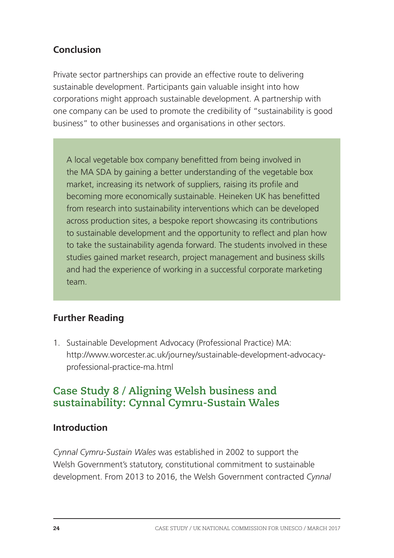# **Conclusion**

Private sector partnerships can provide an effective route to delivering sustainable development. Participants gain valuable insight into how corporations might approach sustainable development. A partnership with one company can be used to promote the credibility of "sustainability is good business" to other businesses and organisations in other sectors.

A local vegetable box company benefitted from being involved in the MA SDA by gaining a better understanding of the vegetable box market, increasing its network of suppliers, raising its profile and becoming more economically sustainable. Heineken UK has benefitted from research into sustainability interventions which can be developed across production sites, a bespoke report showcasing its contributions to sustainable development and the opportunity to reflect and plan how to take the sustainability agenda forward. The students involved in these studies gained market research, project management and business skills and had the experience of working in a successful corporate marketing team.

#### **Further Reading**

1. Sustainable Development Advocacy (Professional Practice) MA: http://www.worcester.ac.uk/journey/sustainable-development-advocacyprofessional-practice-ma.html

# **Case Study 8 / Aligning Welsh business and sustainability: Cynnal Cymru-Sustain Wales**

#### **Introduction**

*Cynnal Cymru-Sustain Wales* was established in 2002 to support the Welsh Government's statutory, constitutional commitment to sustainable development. From 2013 to 2016, the Welsh Government contracted *Cynnal*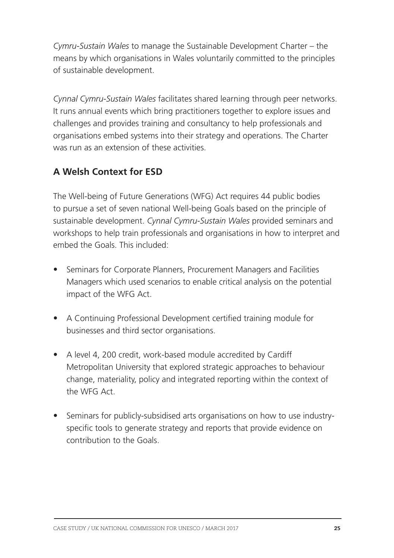*Cymru-Sustain Wales* to manage the Sustainable Development Charter – the means by which organisations in Wales voluntarily committed to the principles of sustainable development.

*Cynnal Cymru-Sustain Wales* facilitates shared learning through peer networks. It runs annual events which bring practitioners together to explore issues and challenges and provides training and consultancy to help professionals and organisations embed systems into their strategy and operations. The Charter was run as an extension of these activities.

# **A Welsh Context for ESD**

The Well-being of Future Generations (WFG) Act requires 44 public bodies to pursue a set of seven national Well-being Goals based on the principle of sustainable development. *Cynnal Cymru-Sustain Wales* provided seminars and workshops to help train professionals and organisations in how to interpret and embed the Goals. This included:

- Seminars for Corporate Planners, Procurement Managers and Facilities Managers which used scenarios to enable critical analysis on the potential impact of the WFG Act.
- A Continuing Professional Development certified training module for businesses and third sector organisations.
- A level 4, 200 credit, work-based module accredited by Cardiff Metropolitan University that explored strategic approaches to behaviour change, materiality, policy and integrated reporting within the context of the WFG Act.
- Seminars for publicly-subsidised arts organisations on how to use industryspecific tools to generate strategy and reports that provide evidence on contribution to the Goals.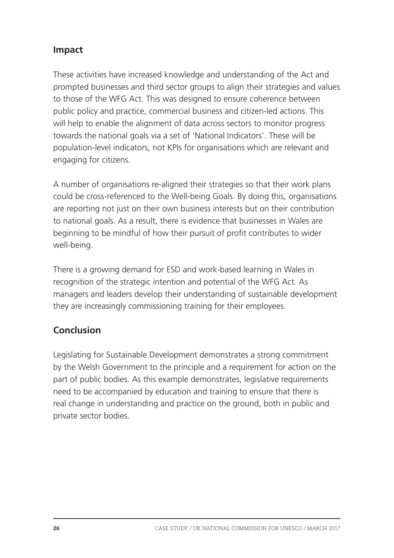#### **Impact**

These activities have increased knowledge and understanding of the Act and prompted businesses and third sector groups to align their strategies and values to those of the WFG Act. This was designed to ensure coherence between public policy and practice, commercial business and citizen-led actions. This will help to enable the alignment of data across sectors to monitor progress towards the national goals via a set of 'National Indicators'. These will be population-level indicators, not KPIs for organisations which are relevant and engaging for citizens.

A number of organisations re-aligned their strategies so that their work plans could be cross-referenced to the Well-being Goals. By doing this, organisations are reporting not just on their own business interests but on their contribution to national goals. As a result, there is evidence that businesses in Wales are beginning to be mindful of how their pursuit of profit contributes to wider well-being.

There is a growing demand for ESD and work-based learning in Wales in recognition of the strategic intention and potential of the WFG Act. As managers and leaders develop their understanding of sustainable development they are increasingly commissioning training for their employees.

## **Conclusion**

Legislating for Sustainable Development demonstrates a strong commitment by the Welsh Government to the principle and a requirement for action on the part of public bodies. As this example demonstrates, legislative requirements need to be accompanied by education and training to ensure that there is real change in understanding and practice on the ground, both in public and private sector bodies.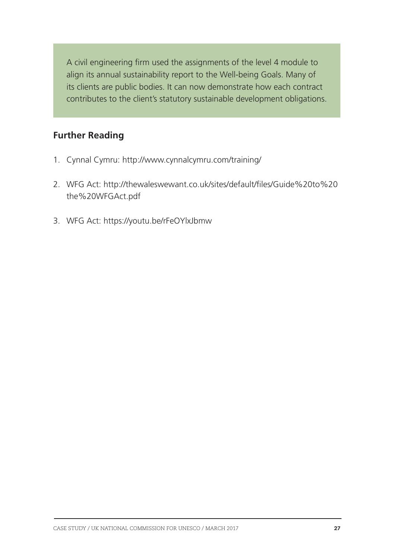A civil engineering firm used the assignments of the level 4 module to align its annual sustainability report to the Well-being Goals. Many of its clients are public bodies. It can now demonstrate how each contract contributes to the client's statutory sustainable development obligations.

#### **Further Reading**

- 1. Cynnal Cymru: http://www.cynnalcymru.com/training/
- 2. WFG Act: http://thewaleswewant.co.uk/sites/default/files/Guide%20to%20 the%20WFGAct.pdf
- 3. WFG Act: https://youtu.be/rFeOYlxJbmw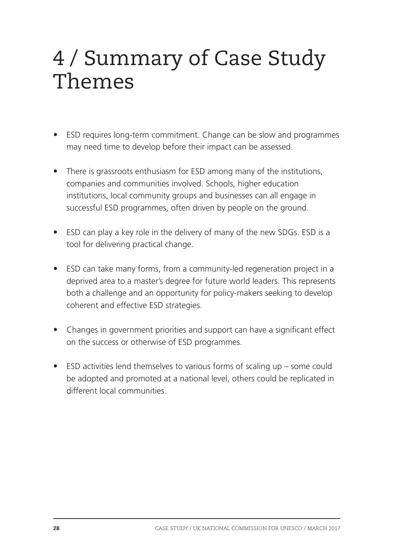# 4 / Summary of Case Study Themes

- ESD requires long-term commitment. Change can be slow and programmes may need time to develop before their impact can be assessed.
- There is grassroots enthusiasm for ESD among many of the institutions, companies and communities involved. Schools, higher education institutions, local community groups and businesses can all engage in successful ESD programmes, often driven by people on the ground.
- ESD can play a key role in the delivery of many of the new SDGs. ESD is a tool for delivering practical change.
- ESD can take many forms, from a community-led regeneration project in a deprived area to a master's degree for future world leaders. This represents both a challenge and an opportunity for policy-makers seeking to develop coherent and effective ESD strategies.
- Changes in government priorities and support can have a significant effect on the success or otherwise of ESD programmes.
- ESD activities lend themselves to various forms of scaling up some could be adopted and promoted at a national level, others could be replicated in different local communities.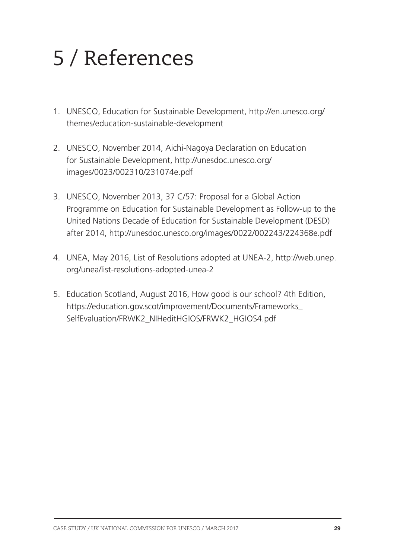# 5 / References

- 1. UNESCO, Education for Sustainable Development, http://en.unesco.org/ themes/education-sustainable-development
- 2. UNESCO, November 2014, Aichi-Nagoya Declaration on Education for Sustainable Development, http://unesdoc.unesco.org/ images/0023/002310/231074e.pdf
- 3. UNESCO, November 2013, 37 C/57: Proposal for a Global Action Programme on Education for Sustainable Development as Follow-up to the United Nations Decade of Education for Sustainable Development (DESD) after 2014, http://unesdoc.unesco.org/images/0022/002243/224368e.pdf
- 4. UNEA, May 2016, List of Resolutions adopted at UNEA-2, http://web.unep. org/unea/list-resolutions-adopted-unea-2
- 5. Education Scotland, August 2016, How good is our school? 4th Edition, https://education.gov.scot/improvement/Documents/Frameworks\_ SelfEvaluation/FRWK2\_NIHeditHGIOS/FRWK2\_HGIOS4.pdf